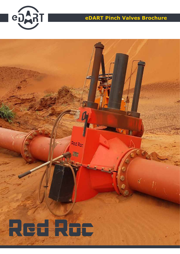

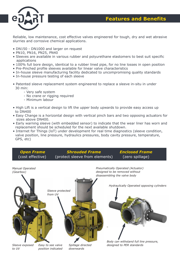

Reliable, low maintenance, cost effective valves engineered for tough, dry and wet abrasive slurries and corrosive chemical applications.

- DN150 DN1000 and larger on request
- PN10, PN16, PN25, PN40
- Sleeves are available in various rubber and polyurethane elastomers to best suit specific applications
- 100% full bore design, identical to a rubber lined pipe, for no line losses in open position
- Pre-Pinched profile sleeves available for linear valve characteristics
- In-house sleeve manufacturing facility dedicated to uncompromising quality standards
- In-house pressure testing of each sleeve
- Patented sleeve replacement system engineered to replace a sleeve in-situ in under 30 min:
	- Very safe system
	- No crane or rigging required
	- Minimum labour
- High Lift is a vertical design to lift the upper body upwards to provide easy access up to DN400
- Easy Change is a horizontal design with vertical pinch bars and two opposing actuators for sizes above DN400.
- Early warning sleeve (with embedded sensor) to indicate that the wear liner has worn and replacement should be scheduled for the next available shutdown.
- Internet for Things (loT) under development for real time diagnostics (sleeve condition, valve position, line pressure, hydraulics pressures, body cavity pressure, temperature, GPS, etc)

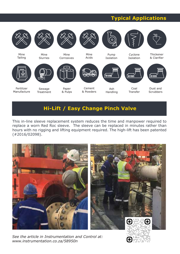## **Typical Applications**



## **Hi-Lift / Easy Change Pinch Valve**

This in-line sleeve replacement system reduces the time and manpower required to replace a worn Red Roc sleeve. The sleeve can be replaced in minutes rather than hours with no rigging and lifting equipment required. The high-lift has been patented (#2016/02098).



*See the article in Instrumentation and Control at: www.instrumentation.co.za/58950n*